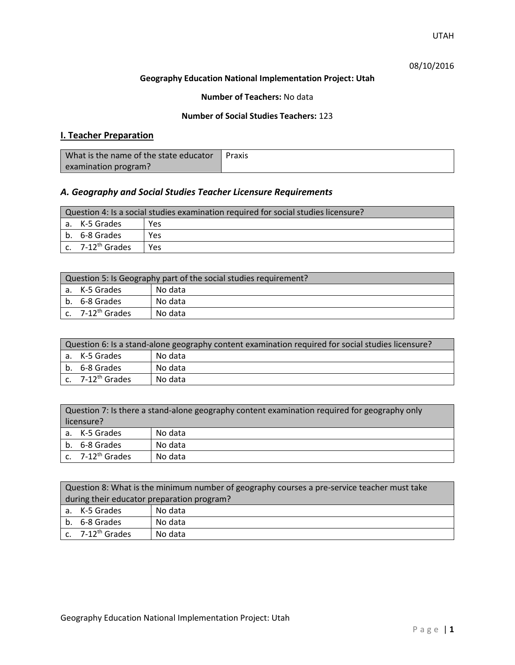### 08/10/2016

#### **Geography Education National Implementation Project: Utah**

### **Number of Teachers:** No data

### **Number of Social Studies Teachers:** 123

## **I. Teacher Preparation**

| What is the name of the state educator | Praxis |
|----------------------------------------|--------|
| examination program?                   |        |

## *A. Geography and Social Studies Teacher Licensure Requirements*

| Question 4: Is a social studies examination required for social studies licensure? |                                |     |
|------------------------------------------------------------------------------------|--------------------------------|-----|
|                                                                                    | l a. K-5 Grades                | Yes |
|                                                                                    | b. 6-8 Grades                  | Yes |
|                                                                                    | $c.$ 7-12 <sup>th</sup> Grades | Yes |

| Question 5: Is Geography part of the social studies requirement? |                              |         |
|------------------------------------------------------------------|------------------------------|---------|
|                                                                  | l a. K-5 Grades              | No data |
|                                                                  | b. 6-8 Grades                | No data |
|                                                                  | c. 7-12 <sup>th</sup> Grades | No data |

| Question 6: Is a stand-alone geography content examination required for social studies licensure? |         |  |
|---------------------------------------------------------------------------------------------------|---------|--|
| a. K-5 Grades                                                                                     | No data |  |
| b. 6-8 Grades                                                                                     | No data |  |
| c. 7-12 <sup>th</sup> Grades                                                                      | No data |  |

|            | Question 7: Is there a stand-alone geography content examination required for geography only |         |  |
|------------|----------------------------------------------------------------------------------------------|---------|--|
| licensure? |                                                                                              |         |  |
|            | a. K-5 Grades                                                                                | No data |  |
|            | b. 6-8 Grades                                                                                | No data |  |
|            | c. 7-12 <sup>th</sup> Grades                                                                 | No data |  |

| Question 8: What is the minimum number of geography courses a pre-service teacher must take |         |  |
|---------------------------------------------------------------------------------------------|---------|--|
| during their educator preparation program?                                                  |         |  |
| a. K-5 Grades                                                                               | No data |  |
| b. 6-8 Grades                                                                               | No data |  |
| c. $7-12^{th}$ Grades                                                                       | No data |  |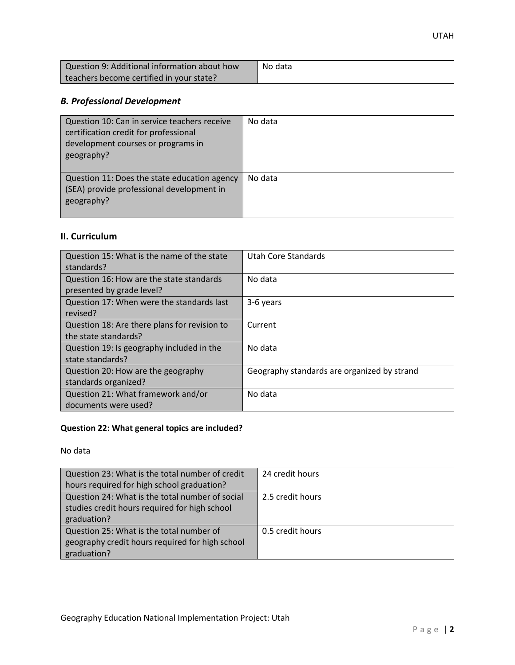| Question 9: Additional information about how | No data |
|----------------------------------------------|---------|
| teachers become certified in your state?     |         |

# *B. Professional Development*

| Question 10: Can in service teachers receive<br>certification credit for professional<br>development courses or programs in<br>geography? | No data |
|-------------------------------------------------------------------------------------------------------------------------------------------|---------|
| Question 11: Does the state education agency<br>(SEA) provide professional development in<br>geography?                                   | No data |

# **II. Curriculum**

| Question 15: What is the name of the state<br>standards?              | Utah Core Standards                         |
|-----------------------------------------------------------------------|---------------------------------------------|
| Question 16: How are the state standards<br>presented by grade level? | No data                                     |
| Question 17: When were the standards last<br>revised?                 | 3-6 years                                   |
| Question 18: Are there plans for revision to<br>the state standards?  | Current                                     |
| Question 19: Is geography included in the<br>state standards?         | No data                                     |
| Question 20: How are the geography<br>standards organized?            | Geography standards are organized by strand |
| Question 21: What framework and/or<br>documents were used?            | No data                                     |

# **Question 22: What general topics are included?**

No data

| Question 23: What is the total number of credit | 24 credit hours  |
|-------------------------------------------------|------------------|
| hours required for high school graduation?      |                  |
| Question 24: What is the total number of social | 2.5 credit hours |
| studies credit hours required for high school   |                  |
| graduation?                                     |                  |
| Question 25: What is the total number of        | 0.5 credit hours |
| geography credit hours required for high school |                  |
| graduation?                                     |                  |